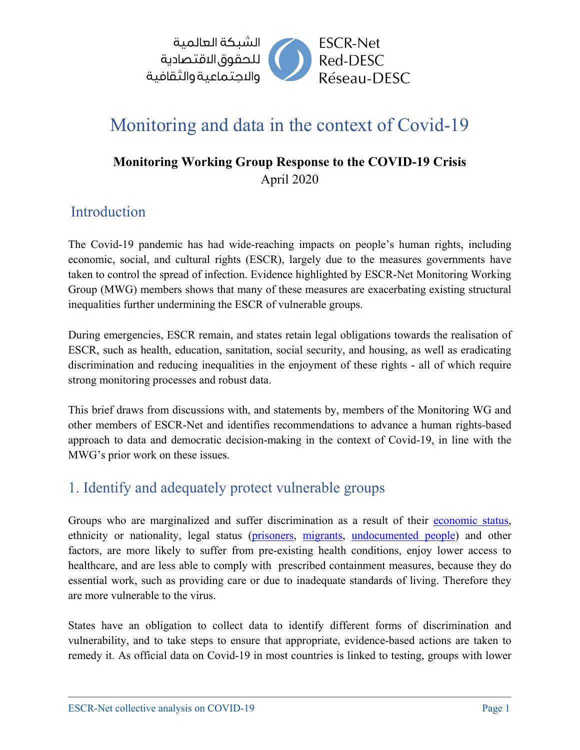

# Monitoring and data in the context of Covid-19

#### **Monitoring Working Group Response to the COVID-19 Crisis** April 2020

#### Introduction

The Covid-19 pandemic has had wide-reaching impacts on people's human rights, including economic, social, and cultural rights (ESCR), largely due to the measures governments have taken to control the spread of infection. Evidence highlighted by ESCR-Net Monitoring Working Group (MWG) members shows that many of these measures are exacerbating existing structural inequalities further undermining the ESCR of vulnerable groups.

During emergencies, ESCR remain, and states retain legal obligations towards the realisation of ESCR, such as health, education, sanitation, social security, and housing, as well as eradicating discrimination and reducing inequalities in the enjoyment of these rights - all of which require strong monitoring processes and robust data.

This brief draws from discussions with, and statements by, members of the Monitoring WG and other members of ESCR-Net and identifies recommendations to advance a human rights-based approach to data and democratic decision-making in the context of Covid-19, in line with the MWG's prior work on these issues.

#### 1. Identify and adequately protect vulnerable groups

Groups who are marginalized and suffer discrimination as a result of their [economic status,](https://www.a11initiative.org/en/urgent-action-is-needed-to-protect-the-most-vulnerable-while-fighting-the-sars-cov-2-virus/) ethnicity or nationality, legal status [\(prisoners,](https://www.asf.be/blog/2020/03/24/the-spread-of-covid-19-requires-to-take-urgent-and-immediate-measures-to-protect-the-rights-of-detainees-in-africa/?fbclid=IwAR0HY-STkYm_qTX19quu9zcsAaLTTOTmO3pav4R8UYkgFr-7LvgO79pwHlQ) [migrants,](https://ftdes.net/ugtt-ftdes/) [undocumented people\)](https://www.forum-asia.org/?p=31333) and other factors, are more likely to suffer from pre-existing health conditions, enjoy lower access to healthcare, and are less able to comply with prescribed containment measures, because they do essential work, such as providing care or due to inadequate standards of living. Therefore they are more vulnerable to the virus.

States have an obligation to collect data to identify different forms of discrimination and vulnerability, and to take steps to ensure that appropriate, evidence-based actions are taken to remedy it. As official data on Covid-19 in most countries is linked to testing, groups with lower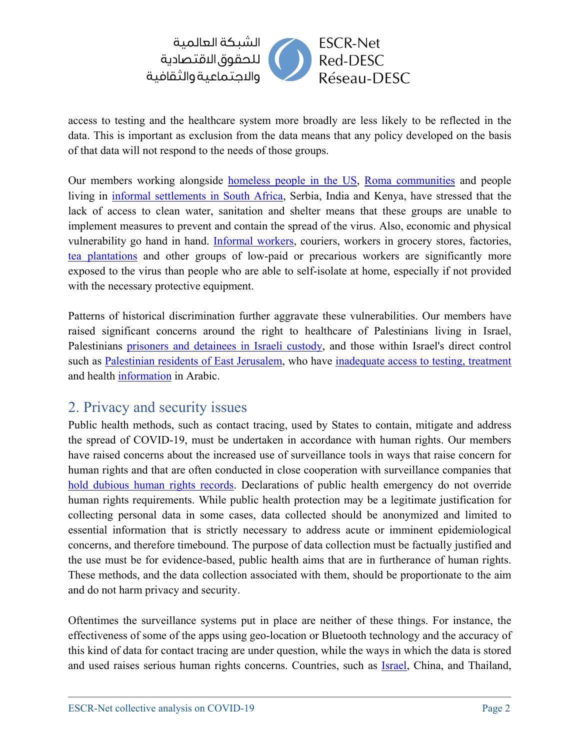

access to testing and the healthcare system more broadly are less likely to be reflected in the data. This is important as exclusion from the data means that any policy developed on the basis of that data will not respond to the needs of those groups.

Our members working alongside [homeless people in the US,](https://kairoscenter.org/coronavirus-crisis-of-poverty/) [Roma communities](https://www.a11initiative.org/en/urgent-action-is-needed-to-protect-the-most-vulnerable-while-fighting-the-sars-cov-2-virus/) and people living in [informal settlements in South Africa,](http://abahlali.org/node/17029/#more-17029) Serbia, India and Kenya, have stressed that the lack of access to clean water, sanitation and shelter means that these groups are unable to implement measures to prevent and contain the spread of the virus. Also, economic and physical vulnerability go hand in hand. [Informal workers,](https://eipr.org/en/press/2020/03/credit-government-measures-combat-spread-coronavirus-protecting-individuals%E2%80%99-income) couriers, workers in grocery stores, factories, [tea plantations](https://thediplomat.com/2020/04/indian-tea-plantation-workers-look-to-the-world-bank-to-prevent-a-coronavirus-disaster/) and other groups of low-paid or precarious workers are significantly more exposed to the virus than people who are able to self-isolate at home, especially if not provided with the necessary protective equipment.

Patterns of historical discrimination further aggravate these vulnerabilities. Our members have raised significant concerns around the right to healthcare of Palestinians living in Israel, Palestinians [prisoners and detainees in Israeli custody,](http://addameer.org/news/addameer-and-al-haq-send-appeal-un-special-procedures-situation-palestinian-prisoners-israeli) and those within Israel's direct control such as [Palestinian residents of East Jerusalem,](https://www.aljazeera.com/news/2020/04/east-jerusalem-worries-healthcare-collapse-coronavirus-200405125941446.html) who have [inadequate access to testing, treatment](https://www.adalah.org/en/content/view/9975) and health [information](https://www.adalah.org/en/content/view/9916) in Arabic.

#### 2. Privacy and security issues

Public health methods, such as contact tracing, used by States to contain, mitigate and address the spread of COVID-19, must be undertaken in accordance with human rights. Our members have raised concerns about the increased use of surveillance tools in ways that raise concern for human rights and that are often conducted in close cooperation with surveillance companies that [hold dubious human rights records.](https://privacyinternational.org/news-analysis/3592/covid-19-response-corporate-exploitation) Declarations of public health emergency do not override human rights requirements. While public health protection may be a legitimate justification for collecting personal data in some cases, data collected should be anonymized and limited to essential information that is strictly necessary to address acute or imminent epidemiological concerns, and therefore timebound. The purpose of data collection must be factually justified and the use must be for evidence-based, public health aims that are in furtherance of human rights. These methods, and the data collection associated with them, should be proportionate to the aim and do not harm privacy and security.

Oftentimes the surveillance systems put in place are neither of these things. For instance, the effectiveness of some of the apps using geo-location or Bluetooth technology and the accuracy of this kind of data for contact tracing are under question, while the ways in which the data is stored and used raises serious human rights concerns. Countries, such as [Israel,](https://www.adalah.org/en/content/view/9924) China, and Thailand,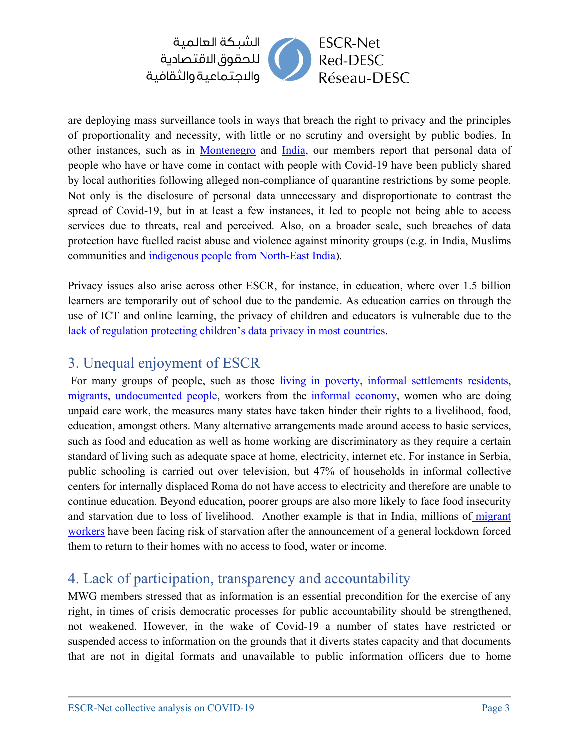

are deploying mass surveillance tools in ways that breach the right to privacy and the principles of proportionality and necessity, with little or no scrutiny and oversight by public bodies. In other instances, such as in [Montenegro](http://www.hraction.org/2020/03/25/letter-to-the-un-special-rapporteurs-on-human-rights/?lang=en) and [India,](https://bangaloremirror.indiatimes.com/bangalore/others/government-publishes-details-of-19240-home-quarantined-people-to-keep-a-check/articleshow/74807807.cms) our members report that personal data of people who have or have come in contact with people with Covid-19 have been publicly shared by local authorities following alleged non-compliance of quarantine restrictions by some people. Not only is the disclosure of personal data unnecessary and disproportionate to contrast the spread of Covid-19, but in at least a few instances, it led to people not being able to access services due to threats, real and perceived. Also, on a broader scale, such breaches of data protection have fuelled racist abuse and violence against minority groups (e.g. in India, Muslims communities and [indigenous people from North-East India\)](https://aippnet.org/wp-content/uploads/2020/04/Brief-on-COVID-19_10April-2020.pdf).

Privacy issues also arise across other ESCR, for instance, in education, where over 1.5 billion learners are temporarily out of school due to the pandemic. As education carries on through the use of ICT and online learning, the privacy of children and educators is vulnerable due to the [lack of regulation protecting children's data privacy in most countries.](https://www.hrw.org/news/2020/04/09/covid-19-and-childrens-rights-0#_Toc37256528)

### 3. Unequal enjoyment of ESCR

For many groups of people, such as those [living in poverty,](https://www.a11initiative.org/en/urgent-action-is-needed-to-protect-the-most-vulnerable-while-fighting-the-sars-cov-2-virus/) [informal settlements residents,](http://abahlali.org/node/17029/#more-17029) [migrants,](https://ftdes.net/ugtt-ftdes/) [undocumented people,](https://www.forum-asia.org/?p=31333) workers from the [informal economy,](https://eipr.org/en/press/2020/03/credit-government-measures-combat-spread-coronavirus-protecting-individuals%E2%80%99-income) women who are doing unpaid care work, the measures many states have taken hinder their rights to a livelihood, food, education, amongst others. Many alternative arrangements made around access to basic services, such as food and education as well as home working are discriminatory as they require a certain standard of living such as adequate space at home, electricity, internet etc. For instance in Serbia, public schooling is carried out over television, but 47% of households in informal collective centers for internally displaced Roma do not have access to electricity and therefore are unable to continue education. Beyond education, poorer groups are also more likely to face food insecurity and starvation due to loss of livelihood. Another example is that in India, millions of [migrant](https://www.ohchr.org/EN/NewsEvents/Pages/DisplayNews.aspx?NewsID=25767&LangID=E)  [workers](https://www.ohchr.org/EN/NewsEvents/Pages/DisplayNews.aspx?NewsID=25767&LangID=E) have been facing risk of starvation after the announcement of a general lockdown forced them to return to their homes with no access to food, water or income.

#### 4. Lack of participation, transparency and accountability

MWG members stressed that as information is an essential precondition for the exercise of any right, in times of crisis democratic processes for public accountability should be strengthened, not weakened. However, in the wake of Covid-19 a number of states have restricted or suspended access to information on the grounds that it diverts states capacity and that documents that are not in digital formats and unavailable to public information officers due to home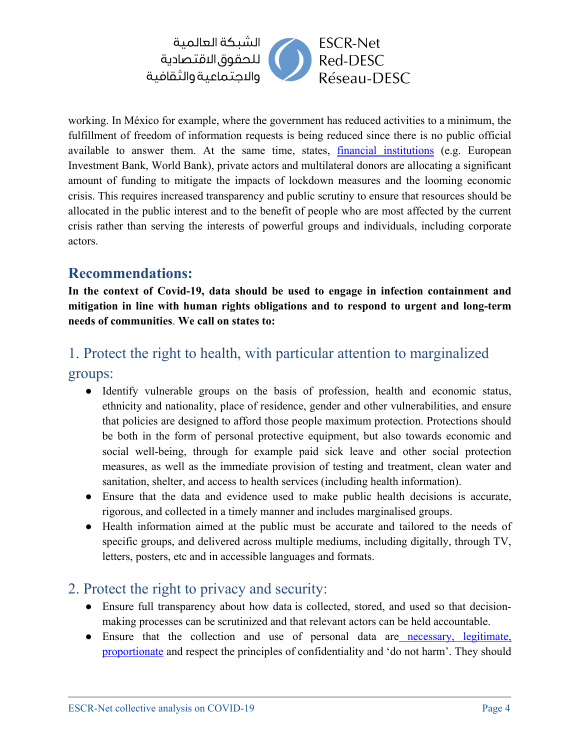

working. In México for example, where the government has reduced activities to a minimum, the fulfillment of freedom of information requests is being reduced since there is no public official available to answer them. At the same time, states, [financial institutions](https://public.tableau.com/profile/jocelyn2872#!/vizhome/EarlyWarningSystemCOVID-19ProjectsbyDevelopmentBanks/Solution?publish=yes) (e.g. European Investment Bank, World Bank), private actors and multilateral donors are allocating a significant amount of funding to mitigate the impacts of lockdown measures and the looming economic crisis. This requires increased transparency and public scrutiny to ensure that resources should be allocated in the public interest and to the benefit of people who are most affected by the current crisis rather than serving the interests of powerful groups and individuals, including corporate actors.

#### **Recommendations:**

**In the context of Covid-19, data should be used to engage in infection containment and mitigation in line with human rights obligations and to respond to urgent and long-term needs of communities**. **We call on states to:**

#### 1. Protect the right to health, with particular attention to marginalized

groups:

- Identify vulnerable groups on the basis of profession, health and economic status, ethnicity and nationality, place of residence, gender and other vulnerabilities, and ensure that policies are designed to afford those people maximum protection. Protections should be both in the form of personal protective equipment, but also towards economic and social well-being, through for example paid sick leave and other social protection measures, as well as the immediate provision of testing and treatment, clean water and sanitation, shelter, and access to health services (including health information).
- Ensure that the data and evidence used to make public health decisions is accurate, rigorous, and collected in a timely manner and includes marginalised groups.
- Health information aimed at the public must be accurate and tailored to the needs of specific groups, and delivered across multiple mediums, including digitally, through TV, letters, posters, etc and in accessible languages and formats.

#### 2. Protect the right to privacy and security:

- Ensure full transparency about how data is collected, stored, and used so that decisionmaking processes can be scrutinized and that relevant actors can be held accountable.
- Ensure that the collection and use of personal data are [necessary, legitimate,](https://www.amnesty.org/download/Documents/POL3020812020ENGLISH.pdf)  [proportionate](https://www.amnesty.org/download/Documents/POL3020812020ENGLISH.pdf) and respect the principles of confidentiality and 'do not harm'. They should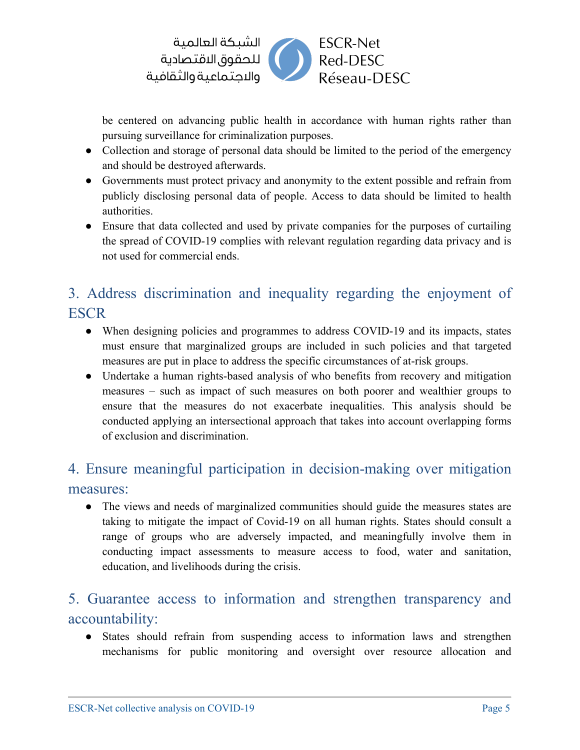

be centered on advancing public health in accordance with human rights rather than pursuing surveillance for criminalization purposes.

- Collection and storage of personal data should be limited to the period of the emergency and should be destroyed afterwards.
- Governments must protect privacy and anonymity to the extent possible and refrain from publicly disclosing personal data of people. Access to data should be limited to health authorities.
- Ensure that data collected and used by private companies for the purposes of curtailing the spread of COVID-19 complies with relevant regulation regarding data privacy and is not used for commercial ends.

## 3. Address discrimination and inequality regarding the enjoyment of **ESCR**

- When designing policies and programmes to address COVID-19 and its impacts, states must ensure that marginalized groups are included in such policies and that targeted measures are put in place to address the specific circumstances of at-risk groups.
- Undertake a human rights-based analysis of who benefits from recovery and mitigation measures – such as impact of such measures on both poorer and wealthier groups to ensure that the measures do not exacerbate inequalities. This analysis should be conducted applying an intersectional approach that takes into account overlapping forms of exclusion and discrimination.

## 4. Ensure meaningful participation in decision-making over mitigation measures:

• The views and needs of marginalized communities should guide the measures states are taking to mitigate the impact of Covid-19 on all human rights. States should consult a range of groups who are adversely impacted, and meaningfully involve them in conducting impact assessments to measure access to food, water and sanitation, education, and livelihoods during the crisis.

## 5. Guarantee access to information and strengthen transparency and accountability:

● States should refrain from suspending access to information laws and strengthen mechanisms for public monitoring and oversight over resource allocation and